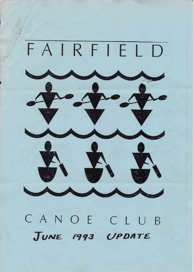

CANOECLUB JUNE 1993 UPDATE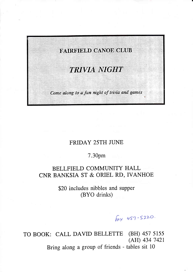

# FRIDAY 25TH JUNE

# 7.30pm

# BELLFIELD COMMUNITY HALL CNR BANKSIA ST & ORIEL RD, IVANHOE

\$20 includes nibbles and supper (BYO drinks)

Fax 457-5220.

TO BOOK: CALL DAVID BELLETTE (BH) 457 5155 (AH) 434 7421

Bring along a group of friends - tables sit 10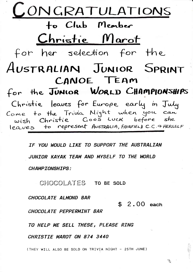

IF YOU WOULD LIKE TO SUPPORT THE AUSTRALIAN JUNIOR KAYAK TEAM AND MYSELF TO THE WORLD **CHAMPIONSHIPS:** 

CHOCOLATES TO BE SOLD

CHOCOLATE ALMOND BAR

 $$2.00$  each

 $\mathcal{L}_{\mathcal{L}}$ 

CHOCOLATE PEPPERMINT BAR

TO HELP ME SELL THESE, PLEASE RING

CHRISTIE MAROT ON 874 3440

(THEY WILL ALSO BE SOLD ON TRIVIA NIGHT - 25TH JUNE)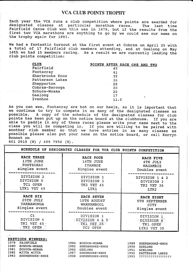## VCA CLUB POINTS TROPHY

Each year the VCA runs a club competition where points are awarded for designated classes at particular marathon races. The last time Fairfield Canoe Club won this was in 1979, but if the results from the first two VCA mar

We had a fantastic turnout at the first event at Cobram on April 25 with<br>a total of 17 Fairfield club members attending, and at Geelong on May<br>16th we had 15 members racing. As a result we are currently leading the<br>club po

| <b>CLUB</b>     | POINTS AFTER RACE ONE AND TWO |      |  |  |
|-----------------|-------------------------------|------|--|--|
| Fairfield       |                               | 49.  |  |  |
| Footscray       |                               | 41   |  |  |
| Sherbrooke Knox |                               | 39   |  |  |
| Patterson Lakes |                               | 36   |  |  |
| Shepparton      |                               | 29   |  |  |
| Cobram-Barooga  |                               | 20   |  |  |
| Echuca-Moama    |                               | 20   |  |  |
| Geelong         |                               | 17   |  |  |
| Ivanhoe         |                               | 11.5 |  |  |

As you can see, Footscray are hot on our heels, so it is important that<br>we continue to try to compete in as many of the designated classes as<br>possible. A copy of the schedule of the designated classes for club points has been put up on the notice board at the clubhouse. If you are<br>able to paddle in any of these races please write your name next to the<br>class you will be competing in. If you are willing to be paired with<br>another c

601 2915 (W) / 499 7956 (H).

|               | SCHEDULE OF DESIGNATED CLASSES FOR VCA CLUB POINTS COMPETITION |                 |
|---------------|----------------------------------------------------------------|-----------------|
| RACE THREE    | RACE FOUR                                                      | RACE FIVE       |
| 13TH JUNE     | 14TH JUNE                                                      | <b>4TH JULY</b> |
| FOOTSCRAY     | <b>IVANHOE</b>                                                 | NAGAMBIE        |
| singles event | Singles event                                                  | Doubles event   |
| DIVISION 2    | DIVISION 1                                                     | DIVISION 1 & 2  |
| DIVISION 5    | DIVISION 3                                                     | DIVISION 3      |
| TC1 OPEN      | TK2 VET 45                                                     | TK2 VET 35      |
| LTK1 VET 45   | LTK1                                                           | LTK2            |
| RACE SIX      | RACE SEVEN                                                     | RACE EIGHT      |
| 25TH JULY     | 15TH AUGUST                                                    | 5TH SEPTEMBER   |
| YARRAWONGA    | WARNAMBOOL                                                     | <b>CITY</b>     |
| Singles event | Doubles event                                                  | Singles event   |
| C1            | DIVISION 3                                                     | DIVISION 1      |
| DIVISION 4    | DIVISION 4 & 5                                                 | DIVISION 6      |
| TKI VET 45    | TK1 VET 35                                                     | TK1 OPEN        |
| TK2 OPEN      | TC2 OPEN                                                       | LTK2 VET 35     |

|      | PREVIOUS WINNERS:   |      |                 |       |                        |
|------|---------------------|------|-----------------|-------|------------------------|
| 1979 | FAIRFIELD           | 1984 | ECHUCA-MOAMA    | 1989  | <b>SHERBROOKE-KNOX</b> |
| 1980 | <b>ECHUCA-MOAMA</b> | 1985 | SHERBROOKE-KNOX | 1990  | <b>GEELONG</b>         |
| 1981 | ECHUCA-MOAMA        | 1986 | GEELONG         | 1991  | GEELONG                |
| 1982 | MITTA MITTA         | 1987 | SHEBROOKE-KNOX  | 1992  | PATTERSON LAKES        |
| 1983 | SHERBROOKE-KNOX     | 1988 | SHERBROOKE-KNOX | 1993. |                        |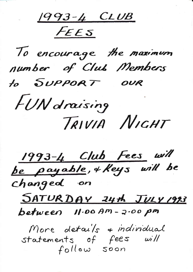1993-4 CLUB

FEES



1993-4 Club Fees will<br>be payable, + Keys will be changed on SATURDAY 24th JULY 1993 between 11.00 Am-2.00 pm More details + individual<br>statements of fees will<br>follow soon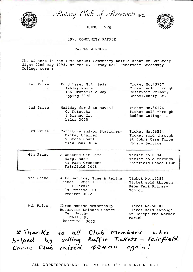

Rotazy Club of Reservoir INC.

DISTRICT 9790



#### 1993 COMMUNITY RAFFLE

### RAFFLE WINNERS

The winners in the 1993 Annual Community Raffle drawn on Saturday Night 22nd May 1993, at the R.J.Brady Hall Reservoir Secondary College were :

| lst Prize | Ford Laser G.L. Sedan<br>Ashley Moore<br>16A Dransfield Way<br>Epping 3076 | Ticket No.43767<br>Ticket sold through<br>Reservoir Primary<br>School.Duffy St. |
|-----------|----------------------------------------------------------------------------|---------------------------------------------------------------------------------|
|           |                                                                            |                                                                                 |

2nd Prize Holiday for 2 in Hawaii C. Kotevska 1 Dianne Crt Lalor 3075

Ticket No.36176 Ticket sold through Reddan College =

3rd Prize Furniture and/or Stationery Ticket No.46534 Mickey Chaffer Ticket sold through 5 Stone Court St Johns Care Force View Bank 3084 Family Service

A Weekend Car Hire

Marg. Buck

J. Ilievski

Preston 3072

19 Percival St

4th Prize

5th Prize

Ticket No.09940 Ticket sold through Fairfield Canoe Club

41 Park Crescent Fairfield 3078

Auto Service, Tune & Reline

Ticket No.14386 Brakes 2 Wheels and the state of the state of the state of the state of the state of the state of the state of Ticket sold through Keon Park Primary School

6th Prize Three Months Membership Reservoir Leisure Centre Meg Murphy 1 Hewitt St Reservoir 3073

Ticket No.50081 Ticket sold through St Joseph the Worker Parish

\* Thanks to all Club Members who<br>helped by selling Raffle Tickets - fairfield<br>Canoe Club raised \$3400 again!